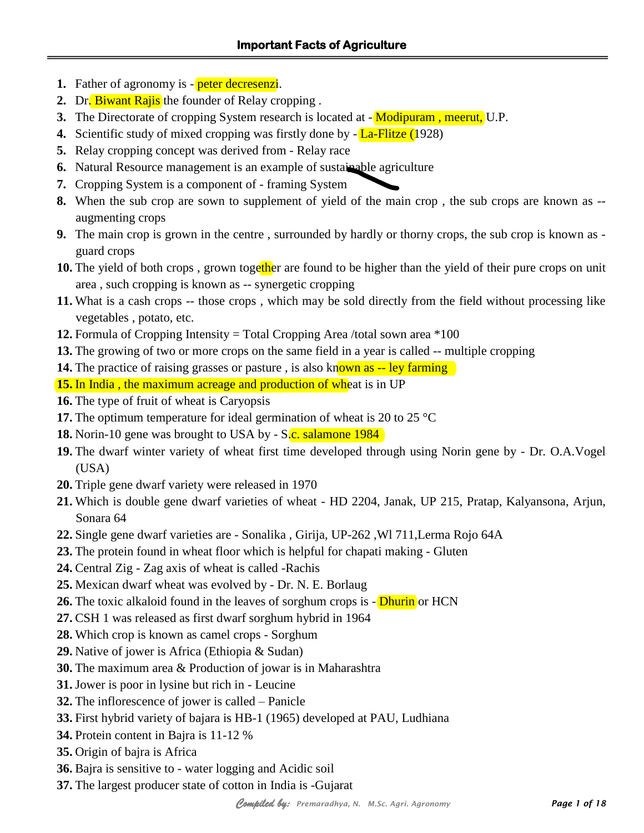- **1.** Father of agronomy is **peter decresenzi**.
- **2.** Dr. Biwant Rajis the founder of Relay cropping.
- **3.** The Directorate of cropping System research is located at **Modipuram**, meerut, U.P.
- **4.** Scientific study of mixed cropping was firstly done by  $-\frac{L}{2}$ -Flitze (1928)
- **5.** Relay cropping concept was derived from Relay race
- **6.** Natural Resource management is an example of sustainable agriculture
- **7.** Cropping System is a component of framing System
- **8.** When the sub crop are sown to supplement of yield of the main crop , the sub crops are known as augmenting crops
- **9.** The main crop is grown in the centre, surrounded by hardly or thorny crops, the sub crop is known as guard crops
- **10.** The yield of both crops, grown together are found to be higher than the yield of their pure crops on unit area , such cropping is known as -- synergetic cropping
- **11.** What is a cash crops -- those crops , which may be sold directly from the field without processing like vegetables , potato, etc.
- **12.** Formula of Cropping Intensity = Total Cropping Area /total sown area \*100
- **13.** The growing of two or more crops on the same field in a year is called -- multiple cropping
- **14.** The practice of raising grasses or pasture, is also known as -- ley farming
- **15.** In India, the maximum acreage and production of wheat is in UP
- **16.** The type of fruit of wheat is Caryopsis
- **17.** The optimum temperature for ideal germination of wheat is 20 to 25 °C
- **18.** Norin-10 gene was brought to USA by S.c. salamone 1984
- **19.** The dwarf winter variety of wheat first time developed through using Norin gene by Dr. O.A.Vogel (USA)
- **20.** Triple gene dwarf variety were released in 1970
- **21.** Which is double gene dwarf varieties of wheat HD 2204, Janak, UP 215, Pratap, Kalyansona, Arjun, Sonara 64
- **22.** Single gene dwarf varieties are Sonalika , Girija, UP-262 ,Wl 711,Lerma Rojo 64A
- **23.** The protein found in wheat floor which is helpful for chapati making Gluten
- **24.** Central Zig Zag axis of wheat is called -Rachis
- **25.** Mexican dwarf wheat was evolved by Dr. N. E. Borlaug
- **26.** The toxic alkaloid found in the leaves of sorghum crops is **Dhurin** or HCN
- **27.** CSH 1 was released as first dwarf sorghum hybrid in 1964
- **28.** Which crop is known as camel crops Sorghum
- **29.** Native of jower is Africa (Ethiopia & Sudan)
- **30.** The maximum area & Production of jowar is in Maharashtra
- **31.** Jower is poor in lysine but rich in Leucine
- **32.** The inflorescence of jower is called Panicle
- **33.** First hybrid variety of bajara is HB-1 (1965) developed at PAU, Ludhiana
- **34.** Protein content in Bajra is 11-12 %
- **35.** Origin of bajra is Africa
- **36.** Bajra is sensitive to water logging and Acidic soil
- **37.** The largest producer state of cotton in India is -Gujarat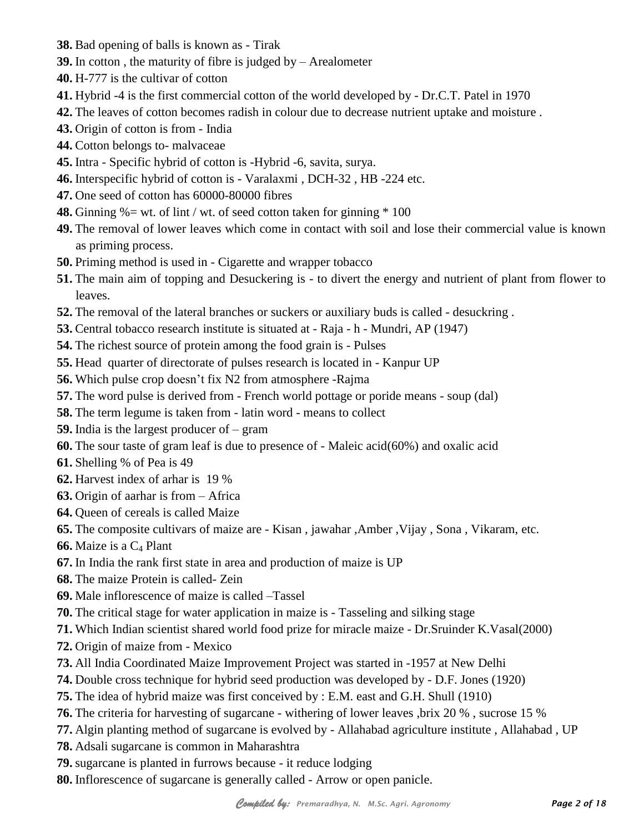- **38.** Bad opening of balls is known as Tirak
- **39.** In cotton , the maturity of fibre is judged by Arealometer
- **40.** H-777 is the cultivar of cotton
- **41.** Hybrid -4 is the first commercial cotton of the world developed by Dr.C.T. Patel in 1970
- **42.** The leaves of cotton becomes radish in colour due to decrease nutrient uptake and moisture .
- **43.** Origin of cotton is from India
- **44.** Cotton belongs to- malvaceae
- **45.** Intra Specific hybrid of cotton is -Hybrid -6, savita, surya.
- **46.** Interspecific hybrid of cotton is Varalaxmi , DCH-32 , HB -224 etc.
- **47.** One seed of cotton has 60000-80000 fibres
- **48.** Ginning  $\% = \text{wt}$ . of lint / wt. of seed cotton taken for ginning  $*$  100
- **49.** The removal of lower leaves which come in contact with soil and lose their commercial value is known as priming process.
- **50.** Priming method is used in Cigarette and wrapper tobacco
- **51.** The main aim of topping and Desuckering is to divert the energy and nutrient of plant from flower to leaves.
- **52.** The removal of the lateral branches or suckers or auxiliary buds is called desuckring .
- **53.** Central tobacco research institute is situated at Raja h Mundri, AP (1947)
- **54.** The richest source of protein among the food grain is Pulses
- **55.** Head quarter of directorate of pulses research is located in Kanpur UP
- **56.** Which pulse crop doesn't fix N2 from atmosphere -Rajma
- **57.** The word pulse is derived from French world pottage or poride means soup (dal)
- **58.** The term legume is taken from latin word means to collect
- **59.** India is the largest producer of gram
- **60.** The sour taste of gram leaf is due to presence of Maleic acid(60%) and oxalic acid
- **61.** Shelling % of Pea is 49
- **62.** Harvest index of arhar is 19 %
- **63.** Origin of aarhar is from Africa
- **64.** Queen of cereals is called Maize
- **65.** The composite cultivars of maize are Kisan , jawahar ,Amber ,Vijay , Sona , Vikaram, etc.
- **66.** Maize is a C<sub>4</sub> Plant
- **67.** In India the rank first state in area and production of maize is UP
- **68.** The maize Protein is called- Zein
- **69.** Male inflorescence of maize is called –Tassel
- **70.** The critical stage for water application in maize is Tasseling and silking stage
- **71.** Which Indian scientist shared world food prize for miracle maize Dr.Sruinder K.Vasal(2000)
- **72.** Origin of maize from Mexico
- **73.** All India Coordinated Maize Improvement Project was started in -1957 at New Delhi
- **74.** Double cross technique for hybrid seed production was developed by D.F. Jones (1920)
- **75.** The idea of hybrid maize was first conceived by : E.M. east and G.H. Shull (1910)
- **76.** The criteria for harvesting of sugarcane withering of lower leaves ,brix 20 % , sucrose 15 %
- **77.** Algin planting method of sugarcane is evolved by Allahabad agriculture institute , Allahabad , UP
- **78.** Adsali sugarcane is common in Maharashtra
- **79.** sugarcane is planted in furrows because it reduce lodging
- **80.** Inflorescence of sugarcane is generally called Arrow or open panicle.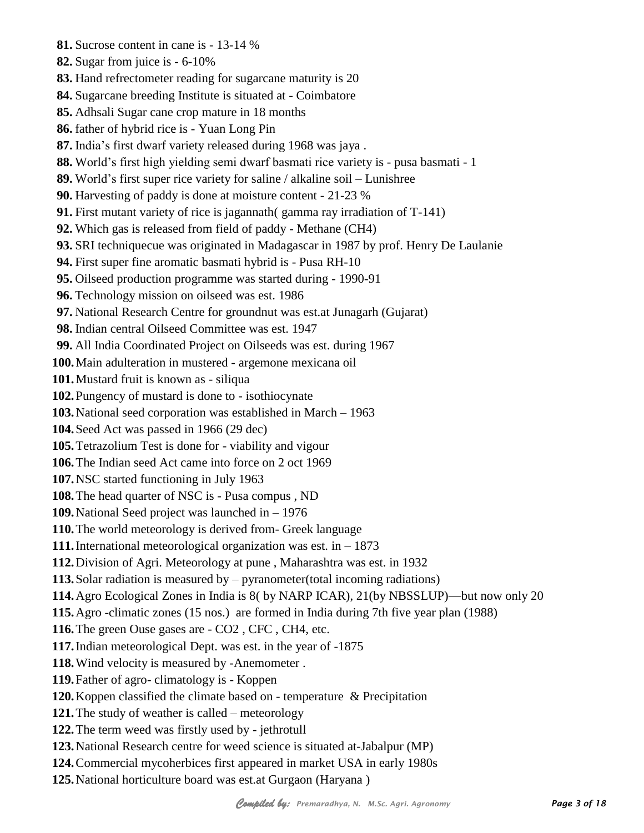**81.** Sucrose content in cane is - 13-14 % **82.** Sugar from juice is - 6-10% **83.** Hand refrectometer reading for sugarcane maturity is 20 **84.** Sugarcane breeding Institute is situated at - Coimbatore **85.** Adhsali Sugar cane crop mature in 18 months **86.** father of hybrid rice is - Yuan Long Pin **87.** India's first dwarf variety released during 1968 was jaya . **88.** World's first high yielding semi dwarf basmati rice variety is - pusa basmati - 1 **89.** World's first super rice variety for saline / alkaline soil – Lunishree **90.** Harvesting of paddy is done at moisture content - 21-23 % **91.** First mutant variety of rice is jagannath( gamma ray irradiation of T-141) **92.** Which gas is released from field of paddy - Methane (CH4) **93.** SRI techniquecue was originated in Madagascar in 1987 by prof. Henry De Laulanie **94.** First super fine aromatic basmati hybrid is - Pusa RH-10 **95.** Oilseed production programme was started during - 1990-91 **96.** Technology mission on oilseed was est. 1986 **97.** National Research Centre for groundnut was est.at Junagarh (Gujarat) **98.** Indian central Oilseed Committee was est. 1947 **99.** All India Coordinated Project on Oilseeds was est. during 1967 **100.**Main adulteration in mustered - argemone mexicana oil **101.**Mustard fruit is known as - siliqua **102.**Pungency of mustard is done to - isothiocynate **103.**National seed corporation was established in March – 1963 **104.**Seed Act was passed in 1966 (29 dec) **105.**Tetrazolium Test is done for - viability and vigour **106.**The Indian seed Act came into force on 2 oct 1969 **107.**NSC started functioning in July 1963 **108.**The head quarter of NSC is - Pusa compus , ND **109.**National Seed project was launched in – 1976 **110.**The world meteorology is derived from- Greek language **111.**International meteorological organization was est. in – 1873 **112.**Division of Agri. Meteorology at pune , Maharashtra was est. in 1932 **113.**Solar radiation is measured by – pyranometer(total incoming radiations) **114.**Agro Ecological Zones in India is 8( by NARP ICAR), 21(by NBSSLUP)—but now only 20 **115.**Agro -climatic zones (15 nos.) are formed in India during 7th five year plan (1988) **116.**The green Ouse gases are - CO2 , CFC , CH4, etc. **117.**Indian meteorological Dept. was est. in the year of -1875 **118.**Wind velocity is measured by -Anemometer . **119.**Father of agro- climatology is - Koppen **120.**Koppen classified the climate based on - temperature & Precipitation **121.**The study of weather is called – meteorology **122.**The term weed was firstly used by - jethrotull **123.**National Research centre for weed science is situated at-Jabalpur (MP) **124.**Commercial mycoherbices first appeared in market USA in early 1980s **125.**National horticulture board was est.at Gurgaon (Haryana )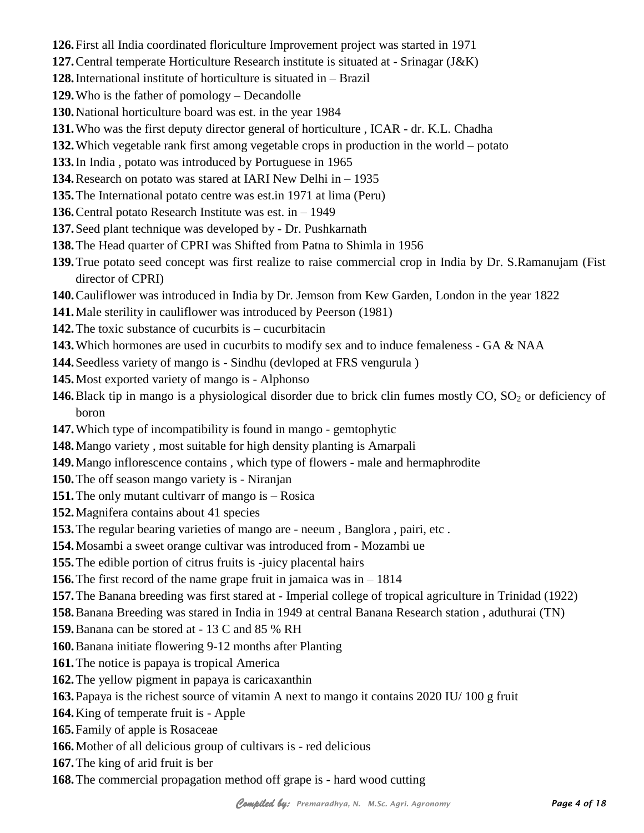- **126.**First all India coordinated floriculture Improvement project was started in 1971
- **127.**Central temperate Horticulture Research institute is situated at Srinagar (J&K)
- **128.**International institute of horticulture is situated in Brazil
- **129.**Who is the father of pomology Decandolle
- **130.**National horticulture board was est. in the year 1984
- **131.**Who was the first deputy director general of horticulture , ICAR dr. K.L. Chadha
- **132.**Which vegetable rank first among vegetable crops in production in the world potato
- **133.**In India , potato was introduced by Portuguese in 1965
- **134.**Research on potato was stared at IARI New Delhi in 1935
- **135.**The International potato centre was est.in 1971 at lima (Peru)
- **136.**Central potato Research Institute was est. in 1949
- **137.**Seed plant technique was developed by Dr. Pushkarnath
- **138.**The Head quarter of CPRI was Shifted from Patna to Shimla in 1956
- **139.**True potato seed concept was first realize to raise commercial crop in India by Dr. S.Ramanujam (Fist director of CPRI)
- **140.**Cauliflower was introduced in India by Dr. Jemson from Kew Garden, London in the year 1822
- **141.**Male sterility in cauliflower was introduced by Peerson (1981)
- **142.**The toxic substance of cucurbits is cucurbitacin
- **143.**Which hormones are used in cucurbits to modify sex and to induce femaleness GA & NAA
- **144.**Seedless variety of mango is Sindhu (devloped at FRS vengurula )
- **145.**Most exported variety of mango is Alphonso
- **146.** Black tip in mango is a physiological disorder due to brick clin fumes mostly CO, SO<sub>2</sub> or deficiency of boron
- **147.**Which type of incompatibility is found in mango gemtophytic
- **148.**Mango variety , most suitable for high density planting is Amarpali
- **149.**Mango inflorescence contains , which type of flowers male and hermaphrodite
- **150.**The off season mango variety is Niranjan
- **151.**The only mutant cultivarr of mango is Rosica
- **152.**Magnifera contains about 41 species
- **153.**The regular bearing varieties of mango are neeum , Banglora , pairi, etc .
- **154.**Mosambi a sweet orange cultivar was introduced from Mozambi ue
- **155.**The edible portion of citrus fruits is -juicy placental hairs
- **156.**The first record of the name grape fruit in jamaica was in 1814
- **157.**The Banana breeding was first stared at Imperial college of tropical agriculture in Trinidad (1922)
- **158.**Banana Breeding was stared in India in 1949 at central Banana Research station , aduthurai (TN)
- **159.**Banana can be stored at 13 C and 85 % RH
- **160.**Banana initiate flowering 9-12 months after Planting
- **161.**The notice is papaya is tropical America
- **162.**The yellow pigment in papaya is caricaxanthin
- **163.**Papaya is the richest source of vitamin A next to mango it contains 2020 IU/ 100 g fruit
- **164.**King of temperate fruit is Apple
- **165.**Family of apple is Rosaceae
- **166.**Mother of all delicious group of cultivars is red delicious
- **167.**The king of arid fruit is ber
- **168.**The commercial propagation method off grape is hard wood cutting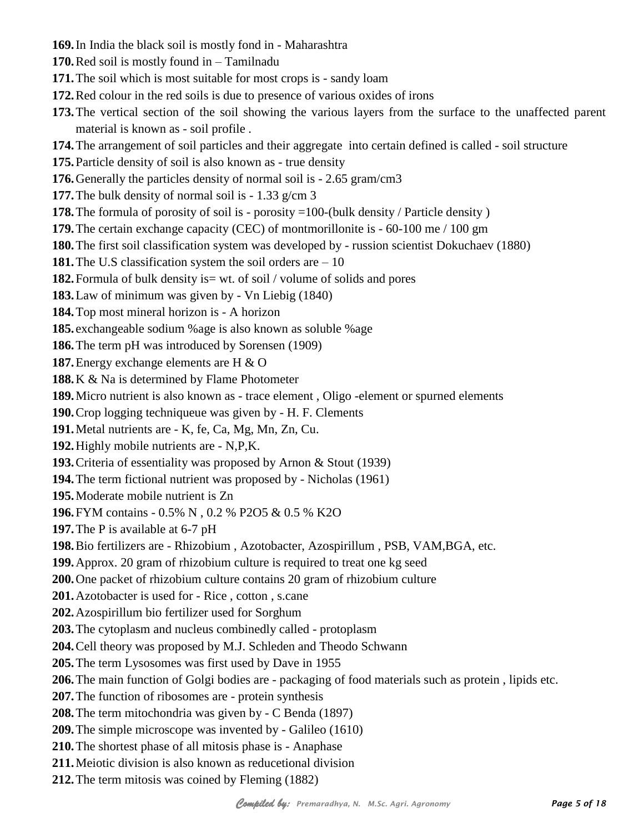- **169.**In India the black soil is mostly fond in Maharashtra
- **170.**Red soil is mostly found in Tamilnadu
- **171.**The soil which is most suitable for most crops is sandy loam
- **172.**Red colour in the red soils is due to presence of various oxides of irons
- **173.**The vertical section of the soil showing the various layers from the surface to the unaffected parent material is known as - soil profile .
- **174.**The arrangement of soil particles and their aggregate into certain defined is called soil structure
- **175.**Particle density of soil is also known as true density
- **176.**Generally the particles density of normal soil is 2.65 gram/cm3
- **177.**The bulk density of normal soil is 1.33 g/cm 3
- **178.** The formula of porosity of soil is porosity =100-(bulk density / Particle density )
- **179.**The certain exchange capacity (CEC) of montmorillonite is 60-100 me / 100 gm
- **180.**The first soil classification system was developed by russion scientist Dokuchaev (1880)
- **181.**The U.S classification system the soil orders are 10
- **182.** Formula of bulk density is = wt. of soil / volume of solids and pores
- **183.**Law of minimum was given by Vn Liebig (1840)
- **184.**Top most mineral horizon is A horizon
- **185.** exchangeable sodium %age is also known as soluble %age
- **186.**The term pH was introduced by Sorensen (1909)
- **187.**Energy exchange elements are H & O
- **188.**K & Na is determined by Flame Photometer
- **189.**Micro nutrient is also known as trace element , Oligo -element or spurned elements
- **190.**Crop logging techniqueue was given by H. F. Clements
- **191.**Metal nutrients are K, fe, Ca, Mg, Mn, Zn, Cu.
- **192.**Highly mobile nutrients are N,P,K.
- **193.**Criteria of essentiality was proposed by Arnon & Stout (1939)
- **194.**The term fictional nutrient was proposed by Nicholas (1961)
- **195.**Moderate mobile nutrient is Zn
- **196.**FYM contains 0.5% N , 0.2 % P2O5 & 0.5 % K2O
- **197.**The P is available at 6-7 pH
- **198.**Bio fertilizers are Rhizobium , Azotobacter, Azospirillum , PSB, VAM,BGA, etc.
- **199.**Approx. 20 gram of rhizobium culture is required to treat one kg seed
- **200.**One packet of rhizobium culture contains 20 gram of rhizobium culture
- **201.**Azotobacter is used for Rice , cotton , s.cane
- **202.**Azospirillum bio fertilizer used for Sorghum
- **203.**The cytoplasm and nucleus combinedly called protoplasm
- **204.**Cell theory was proposed by M.J. Schleden and Theodo Schwann
- **205.**The term Lysosomes was first used by Dave in 1955
- **206.**The main function of Golgi bodies are packaging of food materials such as protein , lipids etc.
- **207.**The function of ribosomes are protein synthesis
- **208.**The term mitochondria was given by C Benda (1897)
- **209.**The simple microscope was invented by Galileo (1610)
- **210.**The shortest phase of all mitosis phase is Anaphase
- **211.**Meiotic division is also known as reducetional division
- **212.**The term mitosis was coined by Fleming (1882)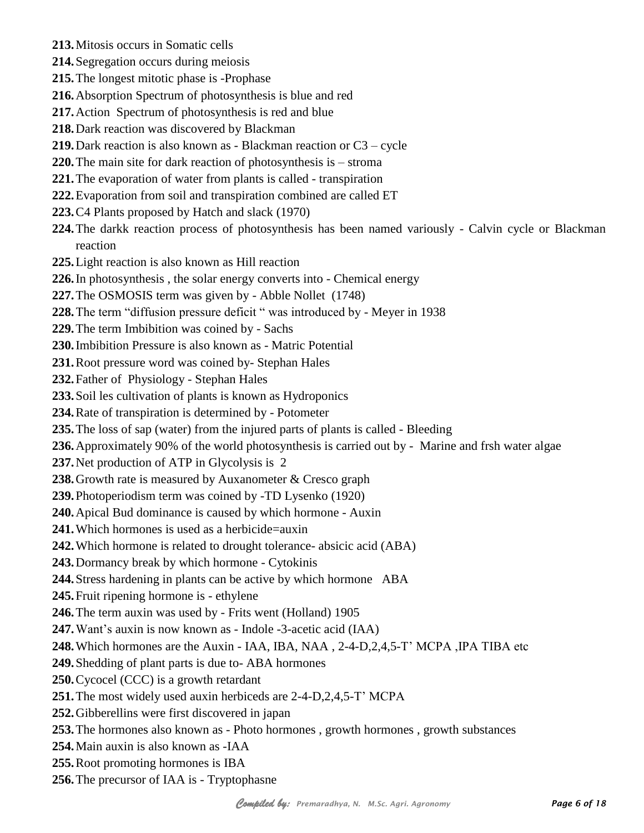- **213.**Mitosis occurs in Somatic cells
- **214.**Segregation occurs during meiosis
- **215.**The longest mitotic phase is -Prophase
- **216.**Absorption Spectrum of photosynthesis is blue and red
- **217.**Action Spectrum of photosynthesis is red and blue
- **218.**Dark reaction was discovered by Blackman
- **219.**Dark reaction is also known as Blackman reaction or C3 cycle
- **220.**The main site for dark reaction of photosynthesis is stroma
- **221.**The evaporation of water from plants is called transpiration
- **222.**Evaporation from soil and transpiration combined are called ET
- **223.**C4 Plants proposed by Hatch and slack (1970)
- **224.**The darkk reaction process of photosynthesis has been named variously Calvin cycle or Blackman reaction
- **225.**Light reaction is also known as Hill reaction
- **226.**In photosynthesis , the solar energy converts into Chemical energy
- **227.**The OSMOSIS term was given by Abble Nollet (1748)
- **228.**The term "diffusion pressure deficit " was introduced by Meyer in 1938
- **229.**The term Imbibition was coined by Sachs
- **230.**Imbibition Pressure is also known as Matric Potential
- **231.**Root pressure word was coined by- Stephan Hales
- **232.**Father of Physiology Stephan Hales
- **233.**Soil les cultivation of plants is known as Hydroponics
- **234.**Rate of transpiration is determined by Potometer
- **235.**The loss of sap (water) from the injured parts of plants is called Bleeding
- **236.**Approximately 90% of the world photosynthesis is carried out by Marine and frsh water algae
- **237.**Net production of ATP in Glycolysis is 2
- **238.**Growth rate is measured by Auxanometer & Cresco graph
- **239.**Photoperiodism term was coined by -TD Lysenko (1920)
- **240.**Apical Bud dominance is caused by which hormone Auxin
- **241.** Which hormones is used as a herbicide=auxin
- **242.**Which hormone is related to drought tolerance- absicic acid (ABA)
- **243.**Dormancy break by which hormone Cytokinis
- **244.**Stress hardening in plants can be active by which hormone ABA
- **245.**Fruit ripening hormone is ethylene
- **246.**The term auxin was used by Frits went (Holland) 1905
- **247.**Want's auxin is now known as Indole -3-acetic acid (IAA)
- **248.**Which hormones are the Auxin IAA, IBA, NAA , 2-4-D,2,4,5-T' MCPA ,IPA TIBA etc
- **249.**Shedding of plant parts is due to- ABA hormones
- **250.**Cycocel (CCC) is a growth retardant
- **251.**The most widely used auxin herbiceds are 2-4-D,2,4,5-T' MCPA
- **252.**Gibberellins were first discovered in japan
- **253.**The hormones also known as Photo hormones , growth hormones , growth substances
- **254.**Main auxin is also known as -IAA
- **255.**Root promoting hormones is IBA
- **256.**The precursor of IAA is Tryptophasne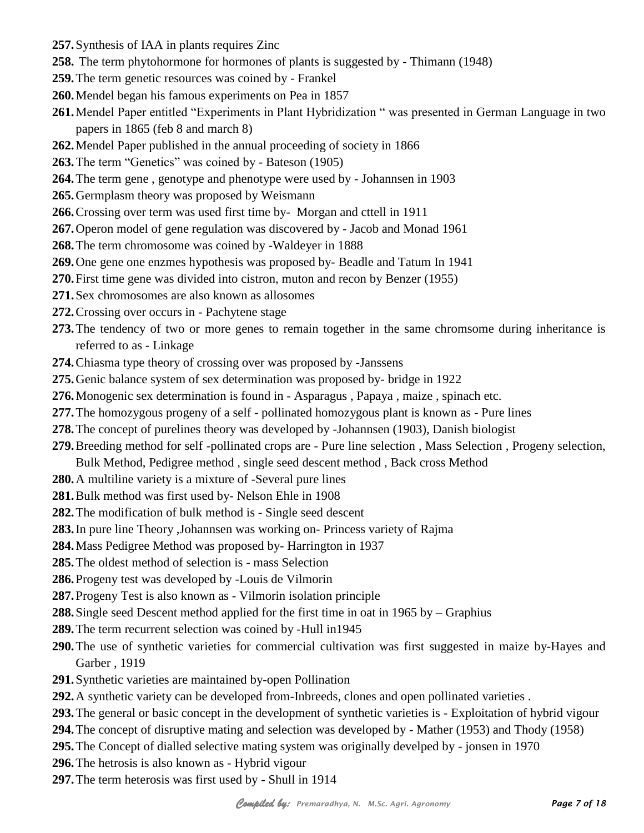- **257.**Synthesis of IAA in plants requires Zinc
- **258.** The term phytohormone for hormones of plants is suggested by Thimann (1948)
- **259.**The term genetic resources was coined by Frankel
- **260.**Mendel began his famous experiments on Pea in 1857
- **261.**Mendel Paper entitled "Experiments in Plant Hybridization " was presented in German Language in two papers in 1865 (feb 8 and march 8)
- **262.**Mendel Paper published in the annual proceeding of society in 1866
- **263.**The term "Genetics" was coined by Bateson (1905)
- **264.**The term gene , genotype and phenotype were used by Johannsen in 1903
- **265.**Germplasm theory was proposed by Weismann
- **266.**Crossing over term was used first time by- Morgan and cttell in 1911
- **267.**Operon model of gene regulation was discovered by Jacob and Monad 1961
- **268.**The term chromosome was coined by -Waldeyer in 1888
- **269.**One gene one enzmes hypothesis was proposed by- Beadle and Tatum In 1941
- **270.**First time gene was divided into cistron, muton and recon by Benzer (1955)
- **271.**Sex chromosomes are also known as allosomes
- **272.**Crossing over occurs in Pachytene stage
- **273.**The tendency of two or more genes to remain together in the same chromsome during inheritance is referred to as - Linkage
- **274.**Chiasma type theory of crossing over was proposed by -Janssens
- **275.**Genic balance system of sex determination was proposed by- bridge in 1922
- **276.**Monogenic sex determination is found in Asparagus , Papaya , maize , spinach etc.
- **277.**The homozygous progeny of a self pollinated homozygous plant is known as Pure lines
- **278.**The concept of purelines theory was developed by -Johannsen (1903), Danish biologist
- **279.**Breeding method for self -pollinated crops are Pure line selection , Mass Selection , Progeny selection,
	- Bulk Method, Pedigree method , single seed descent method , Back cross Method
- **280.**A multiline variety is a mixture of -Several pure lines
- **281.**Bulk method was first used by- Nelson Ehle in 1908
- **282.**The modification of bulk method is Single seed descent
- **283.**In pure line Theory ,Johannsen was working on- Princess variety of Rajma
- **284.**Mass Pedigree Method was proposed by- Harrington in 1937
- **285.**The oldest method of selection is mass Selection
- **286.**Progeny test was developed by -Louis de Vilmorin
- **287.**Progeny Test is also known as Vilmorin isolation principle
- **288.**Single seed Descent method applied for the first time in oat in 1965 by Graphius
- **289.**The term recurrent selection was coined by -Hull in1945
- **290.**The use of synthetic varieties for commercial cultivation was first suggested in maize by-Hayes and Garber , 1919
- **291.**Synthetic varieties are maintained by-open Pollination
- **292.**A synthetic variety can be developed from-Inbreeds, clones and open pollinated varieties .
- **293.**The general or basic concept in the development of synthetic varieties is Exploitation of hybrid vigour
- **294.**The concept of disruptive mating and selection was developed by Mather (1953) and Thody (1958)
- **295.**The Concept of dialled selective mating system was originally develped by jonsen in 1970
- **296.**The hetrosis is also known as Hybrid vigour
- **297.**The term heterosis was first used by Shull in 1914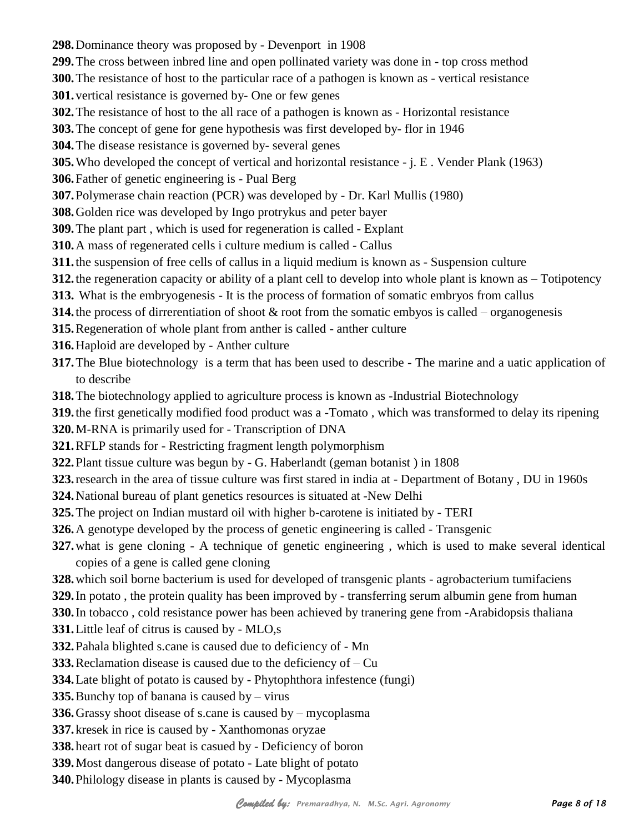- **298.**Dominance theory was proposed by Devenport in 1908
- **299.**The cross between inbred line and open pollinated variety was done in top cross method
- **300.**The resistance of host to the particular race of a pathogen is known as vertical resistance
- **301.**vertical resistance is governed by- One or few genes
- **302.**The resistance of host to the all race of a pathogen is known as Horizontal resistance
- **303.**The concept of gene for gene hypothesis was first developed by- flor in 1946
- **304.**The disease resistance is governed by- several genes
- **305.**Who developed the concept of vertical and horizontal resistance j. E . Vender Plank (1963)
- **306.**Father of genetic engineering is Pual Berg
- **307.**Polymerase chain reaction (PCR) was developed by Dr. Karl Mullis (1980)
- **308.**Golden rice was developed by Ingo protrykus and peter bayer
- **309.**The plant part , which is used for regeneration is called Explant
- **310.**A mass of regenerated cells i culture medium is called Callus
- **311.**the suspension of free cells of callus in a liquid medium is known as Suspension culture
- **312.**the regeneration capacity or ability of a plant cell to develop into whole plant is known as Totipotency
- **313.** What is the embryogenesis It is the process of formation of somatic embryos from callus
- **314.**the process of dirrerentiation of shoot & root from the somatic embyos is called organogenesis
- **315.**Regeneration of whole plant from anther is called anther culture
- **316.**Haploid are developed by Anther culture
- **317.**The Blue biotechnology is a term that has been used to describe The marine and a uatic application of to describe
- **318.**The biotechnology applied to agriculture process is known as -Industrial Biotechnology
- **319.**the first genetically modified food product was a -Tomato , which was transformed to delay its ripening
- **320.**M-RNA is primarily used for Transcription of DNA
- **321.**RFLP stands for Restricting fragment length polymorphism
- **322.**Plant tissue culture was begun by G. Haberlandt (geman botanist ) in 1808
- **323.**research in the area of tissue culture was first stared in india at Department of Botany , DU in 1960s
- **324.**National bureau of plant genetics resources is situated at -New Delhi
- **325.**The project on Indian mustard oil with higher b-carotene is initiated by TERI
- **326.**A genotype developed by the process of genetic engineering is called Transgenic
- **327.**what is gene cloning A technique of genetic engineering , which is used to make several identical copies of a gene is called gene cloning
- **328.**which soil borne bacterium is used for developed of transgenic plants agrobacterium tumifaciens
- **329.**In potato , the protein quality has been improved by transferring serum albumin gene from human
- **330.**In tobacco , cold resistance power has been achieved by tranering gene from -Arabidopsis thaliana
- **331.**Little leaf of citrus is caused by MLO,s
- **332.**Pahala blighted s.cane is caused due to deficiency of Mn
- **333.**Reclamation disease is caused due to the deficiency of Cu
- **334.**Late blight of potato is caused by Phytophthora infestence (fungi)
- **335.**Bunchy top of banana is caused by virus
- **336.**Grassy shoot disease of s.cane is caused by mycoplasma
- **337.**kresek in rice is caused by Xanthomonas oryzae
- **338.**heart rot of sugar beat is casued by Deficiency of boron
- **339.**Most dangerous disease of potato Late blight of potato
- **340.**Philology disease in plants is caused by Mycoplasma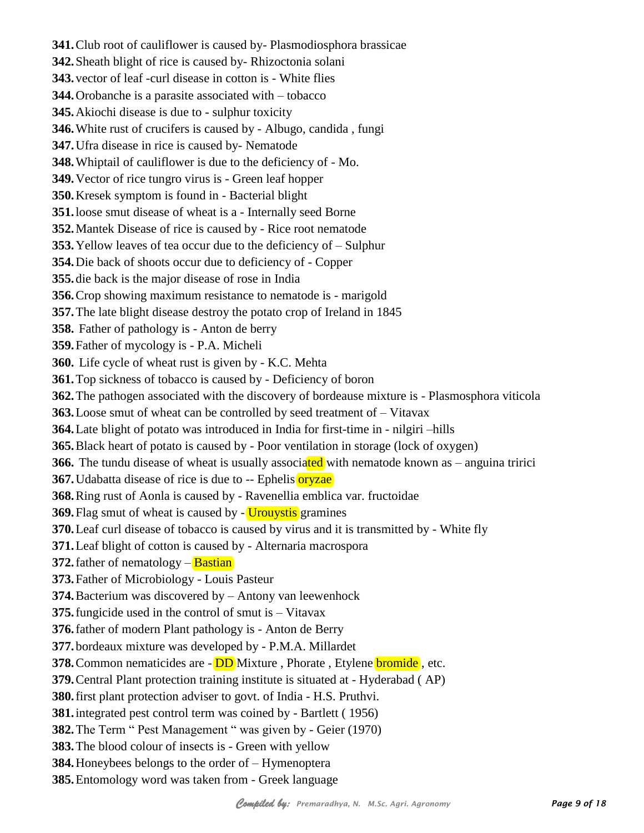**341.**Club root of cauliflower is caused by- Plasmodiosphora brassicae **342.**Sheath blight of rice is caused by- Rhizoctonia solani **343.**vector of leaf -curl disease in cotton is - White flies **344.**Orobanche is a parasite associated with – tobacco **345.**Akiochi disease is due to - sulphur toxicity **346.**White rust of crucifers is caused by - Albugo, candida , fungi **347.**Ufra disease in rice is caused by- Nematode **348.**Whiptail of cauliflower is due to the deficiency of - Mo. **349.**Vector of rice tungro virus is - Green leaf hopper **350.**Kresek symptom is found in - Bacterial blight **351.**loose smut disease of wheat is a - Internally seed Borne **352.**Mantek Disease of rice is caused by - Rice root nematode **353.**Yellow leaves of tea occur due to the deficiency of – Sulphur **354.**Die back of shoots occur due to deficiency of - Copper **355.**die back is the major disease of rose in India **356.**Crop showing maximum resistance to nematode is - marigold **357.**The late blight disease destroy the potato crop of Ireland in 1845 **358.** Father of pathology is - Anton de berry **359.**Father of mycology is - P.A. Micheli **360.** Life cycle of wheat rust is given by - K.C. Mehta **361.**Top sickness of tobacco is caused by - Deficiency of boron **362.**The pathogen associated with the discovery of bordeause mixture is - Plasmosphora viticola **363.**Loose smut of wheat can be controlled by seed treatment of – Vitavax **364.**Late blight of potato was introduced in India for first-time in - nilgiri –hills **365.**Black heart of potato is caused by - Poor ventilation in storage (lock of oxygen) **366.** The tundu disease of wheat is usually associated with nematode known as – anguina tririci **367.** Udabatta disease of rice is due to -- Ephelis **oryzae 368.**Ring rust of Aonla is caused by - Ravenellia emblica var. fructoidae **369.** Flag smut of wheat is caused by - Urouystis gramines **370.**Leaf curl disease of tobacco is caused by virus and it is transmitted by - White fly **371.**Leaf blight of cotton is caused by - Alternaria macrospora **372.** father of nematology – **Bastian 373.**Father of Microbiology - Louis Pasteur **374.**Bacterium was discovered by – Antony van leewenhock **375.**fungicide used in the control of smut is – Vitavax **376.**father of modern Plant pathology is - Anton de Berry **377.**bordeaux mixture was developed by - P.M.A. Millardet **378.** Common nematicides are - **DD** Mixture, Phorate, Etylene **bromide**, etc. **379.**Central Plant protection training institute is situated at - Hyderabad ( AP) **380.**first plant protection adviser to govt. of India - H.S. Pruthvi. **381.**integrated pest control term was coined by - Bartlett ( 1956) **382.**The Term " Pest Management " was given by - Geier (1970) **383.**The blood colour of insects is - Green with yellow **384.**Honeybees belongs to the order of – Hymenoptera

**385.**Entomology word was taken from - Greek language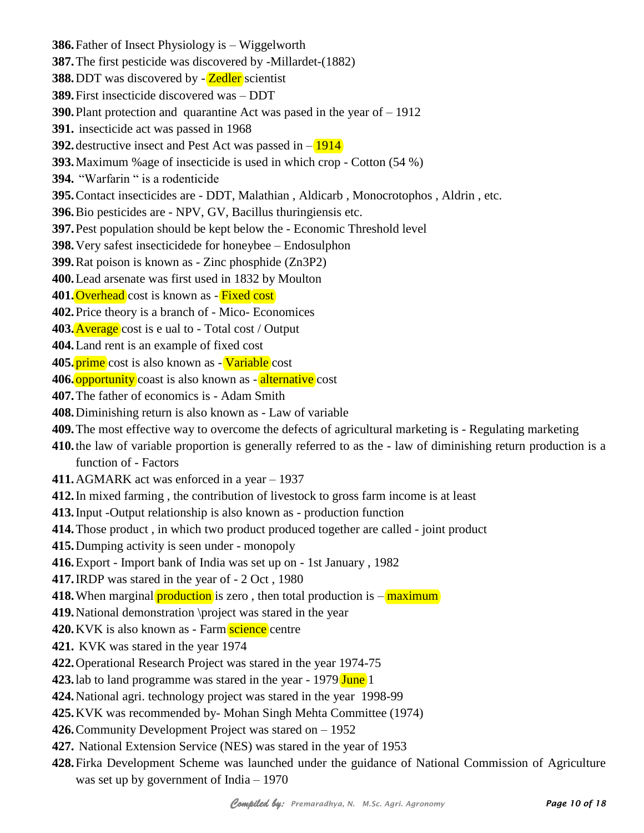**386.**Father of Insect Physiology is – Wiggelworth **387.**The first pesticide was discovered by -Millardet-(1882) **388.** DDT was discovered by - **Zedler** scientist **389.**First insecticide discovered was – DDT **390.**Plant protection and quarantine Act was pased in the year of – 1912 **391.** insecticide act was passed in 1968 **392.** destructive insect and Pest Act was passed in  $-\frac{1914}{1916}$ **393.**Maximum %age of insecticide is used in which crop - Cotton (54 %) **394.** "Warfarin " is a rodenticide **395.**Contact insecticides are - DDT, Malathian , Aldicarb , Monocrotophos , Aldrin , etc. **396.**Bio pesticides are - NPV, GV, Bacillus thuringiensis etc. **397.**Pest population should be kept below the - Economic Threshold level **398.**Very safest insecticidede for honeybee – Endosulphon **399.**Rat poison is known as - Zinc phosphide (Zn3P2) **400.**Lead arsenate was first used in 1832 by Moulton **401.** Overhead cost is known as - Fixed cost **402.**Price theory is a branch of - Mico- Economices **403.**Average cost is e ual to - Total cost / Output **404.**Land rent is an example of fixed cost **405.**prime cost is also known as - Variable cost **406.** opportunity coast is also known as - alternative cost **407.**The father of economics is - Adam Smith **408.**Diminishing return is also known as - Law of variable **409.**The most effective way to overcome the defects of agricultural marketing is - Regulating marketing **410.**the law of variable proportion is generally referred to as the - law of diminishing return production is a function of - Factors **411.**AGMARK act was enforced in a year – 1937 **412.**In mixed farming , the contribution of livestock to gross farm income is at least **413.**Input -Output relationship is also known as - production function **414.**Those product , in which two product produced together are called - joint product **415.**Dumping activity is seen under - monopoly **416.**Export - Import bank of India was set up on - 1st January , 1982 **417.**IRDP was stared in the year of - 2 Oct , 1980 **418.** When marginal **production** is zero, then total production is  $-\frac{\text{maximum}}{\text{maximum}}$ **419.**National demonstration \project was stared in the year **420.** KVK is also known as - Farm science centre **421.** KVK was stared in the year 1974 **422.**Operational Research Project was stared in the year 1974-75 **423.**lab to land programme was stared in the year - 1979 June 1 **424.**National agri. technology project was stared in the year 1998-99 **425.**KVK was recommended by- Mohan Singh Mehta Committee (1974) **426.**Community Development Project was stared on – 1952 **427.** National Extension Service (NES) was stared in the year of 1953 **428.**Firka Development Scheme was launched under the guidance of National Commission of Agriculture was set up by government of India – 1970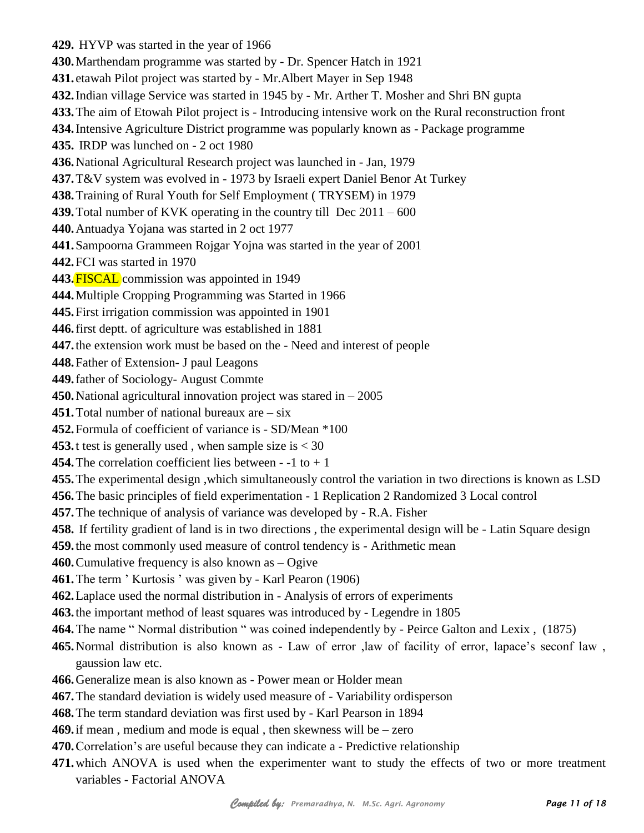**429.** HYVP was started in the year of 1966 **430.**Marthendam programme was started by - Dr. Spencer Hatch in 1921 **431.** etawah Pilot project was started by - Mr.Albert Mayer in Sep 1948 **432.**Indian village Service was started in 1945 by - Mr. Arther T. Mosher and Shri BN gupta **433.**The aim of Etowah Pilot project is - Introducing intensive work on the Rural reconstruction front **434.**Intensive Agriculture District programme was popularly known as - Package programme **435.** IRDP was lunched on - 2 oct 1980 **436.**National Agricultural Research project was launched in - Jan, 1979 **437.**T&V system was evolved in - 1973 by Israeli expert Daniel Benor At Turkey **438.**Training of Rural Youth for Self Employment ( TRYSEM) in 1979 **439.**Total number of KVK operating in the country till Dec 2011 – 600 **440.**Antuadya Yojana was started in 2 oct 1977 **441.**Sampoorna Grammeen Rojgar Yojna was started in the year of 2001 **442.**FCI was started in 1970 **443.**FISCAL commission was appointed in 1949 **444.**Multiple Cropping Programming was Started in 1966 **445.**First irrigation commission was appointed in 1901 **446.**first deptt. of agriculture was established in 1881 **447.**the extension work must be based on the - Need and interest of people **448.**Father of Extension- J paul Leagons **449.**father of Sociology- August Commte **450.**National agricultural innovation project was stared in – 2005 **451.**Total number of national bureaux are – six **452.**Formula of coefficient of variance is - SD/Mean \*100 **453.**t test is generally used , when sample size is < 30 **454.**The correlation coefficient lies between - -1 to + 1 **455.**The experimental design ,which simultaneously control the variation in two directions is known as LSD **456.**The basic principles of field experimentation - 1 Replication 2 Randomized 3 Local control **457.**The technique of analysis of variance was developed by - R.A. Fisher **458.** If fertility gradient of land is in two directions , the experimental design will be - Latin Square design **459.**the most commonly used measure of control tendency is - Arithmetic mean **460.**Cumulative frequency is also known as – Ogive **461.**The term ' Kurtosis ' was given by - Karl Pearon (1906) **462.**Laplace used the normal distribution in - Analysis of errors of experiments **463.**the important method of least squares was introduced by - Legendre in 1805 **464.**The name " Normal distribution " was coined independently by - Peirce Galton and Lexix , (1875) **465.**Normal distribution is also known as - Law of error ,law of facility of error, lapace's seconf law , gaussion law etc. **466.**Generalize mean is also known as - Power mean or Holder mean **467.**The standard deviation is widely used measure of - Variability ordisperson **468.**The term standard deviation was first used by - Karl Pearson in 1894

**469.**if mean , medium and mode is equal , then skewness will be – zero

**470.**Correlation's are useful because they can indicate a - Predictive relationship

**471.**which ANOVA is used when the experimenter want to study the effects of two or more treatment variables - Factorial ANOVA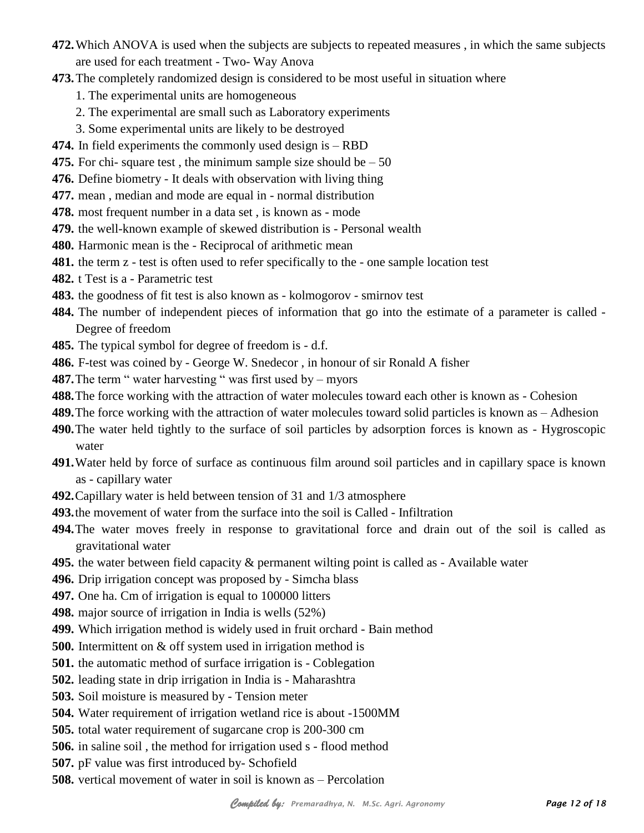- **472.**Which ANOVA is used when the subjects are subjects to repeated measures , in which the same subjects are used for each treatment - Two- Way Anova
- **473.**The completely randomized design is considered to be most useful in situation where
	- 1. The experimental units are homogeneous
	- 2. The experimental are small such as Laboratory experiments
	- 3. Some experimental units are likely to be destroyed
- **474.** In field experiments the commonly used design is RBD
- **475.** For chi-square test, the minimum sample size should be  $-50$
- **476.** Define biometry It deals with observation with living thing
- **477.** mean , median and mode are equal in normal distribution
- **478.** most frequent number in a data set , is known as mode
- **479.** the well-known example of skewed distribution is Personal wealth
- **480.** Harmonic mean is the Reciprocal of arithmetic mean
- **481.** the term z test is often used to refer specifically to the one sample location test
- **482.** t Test is a Parametric test
- **483.** the goodness of fit test is also known as kolmogorov smirnov test
- **484.** The number of independent pieces of information that go into the estimate of a parameter is called Degree of freedom
- **485.** The typical symbol for degree of freedom is d.f.
- **486.** F-test was coined by George W. Snedecor , in honour of sir Ronald A fisher
- **487.** The term " water harvesting " was first used by myors
- **488.**The force working with the attraction of water molecules toward each other is known as Cohesion
- **489.**The force working with the attraction of water molecules toward solid particles is known as Adhesion
- **490.**The water held tightly to the surface of soil particles by adsorption forces is known as Hygroscopic water
- **491.**Water held by force of surface as continuous film around soil particles and in capillary space is known as - capillary water
- **492.**Capillary water is held between tension of 31 and 1/3 atmosphere
- **493.**the movement of water from the surface into the soil is Called Infiltration
- **494.**The water moves freely in response to gravitational force and drain out of the soil is called as gravitational water
- **495.** the water between field capacity & permanent wilting point is called as Available water
- **496.** Drip irrigation concept was proposed by Simcha blass
- **497.** One ha. Cm of irrigation is equal to 100000 litters
- **498.** major source of irrigation in India is wells (52%)
- **499.** Which irrigation method is widely used in fruit orchard Bain method
- **500.** Intermittent on & off system used in irrigation method is
- **501.** the automatic method of surface irrigation is Coblegation
- **502.** leading state in drip irrigation in India is Maharashtra
- **503.** Soil moisture is measured by Tension meter
- **504.** Water requirement of irrigation wetland rice is about -1500MM
- **505.** total water requirement of sugarcane crop is 200-300 cm
- **506.** in saline soil , the method for irrigation used s flood method
- **507.** pF value was first introduced by- Schofield
- **508.** vertical movement of water in soil is known as Percolation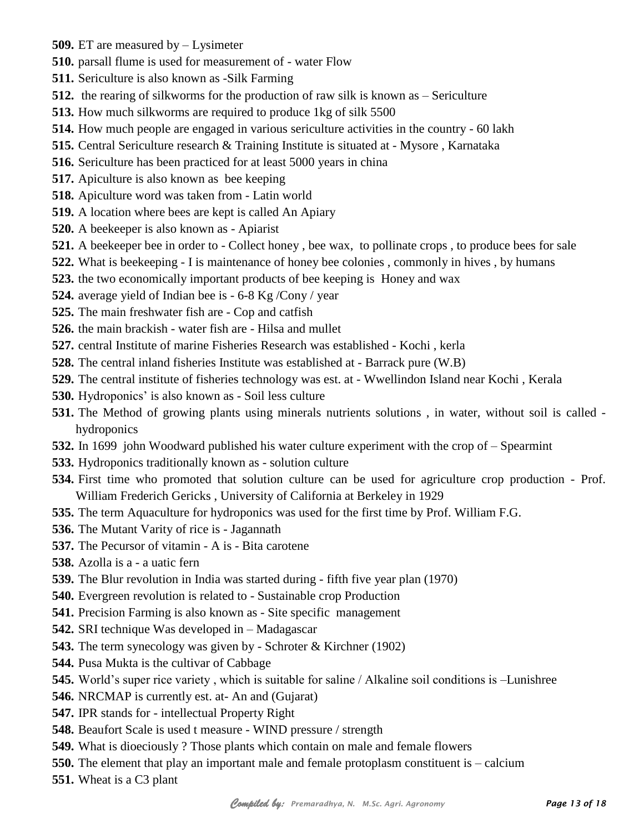- **509.** ET are measured by Lysimeter
- **510.** parsall flume is used for measurement of water Flow
- **511.** Sericulture is also known as -Silk Farming
- **512.** the rearing of silkworms for the production of raw silk is known as Sericulture
- **513.** How much silkworms are required to produce 1kg of silk 5500
- **514.** How much people are engaged in various sericulture activities in the country 60 lakh
- **515.** Central Sericulture research & Training Institute is situated at Mysore , Karnataka
- **516.** Sericulture has been practiced for at least 5000 years in china
- **517.** Apiculture is also known as bee keeping
- **518.** Apiculture word was taken from Latin world
- **519.** A location where bees are kept is called An Apiary
- **520.** A beekeeper is also known as Apiarist
- **521.** A beekeeper bee in order to Collect honey , bee wax, to pollinate crops , to produce bees for sale
- **522.** What is beekeeping I is maintenance of honey bee colonies , commonly in hives , by humans
- **523.** the two economically important products of bee keeping is Honey and wax
- **524.** average yield of Indian bee is 6-8 Kg /Cony / year
- **525.** The main freshwater fish are Cop and catfish
- **526.** the main brackish water fish are Hilsa and mullet
- **527.** central Institute of marine Fisheries Research was established Kochi , kerla
- **528.** The central inland fisheries Institute was established at Barrack pure (W.B)
- **529.** The central institute of fisheries technology was est. at Wwellindon Island near Kochi , Kerala
- **530.** Hydroponics' is also known as Soil less culture
- **531.** The Method of growing plants using minerals nutrients solutions , in water, without soil is called hydroponics
- **532.** In 1699 john Woodward published his water culture experiment with the crop of Spearmint
- **533.** Hydroponics traditionally known as solution culture
- **534.** First time who promoted that solution culture can be used for agriculture crop production Prof. William Frederich Gericks , University of California at Berkeley in 1929
- **535.** The term Aquaculture for hydroponics was used for the first time by Prof. William F.G.
- **536.** The Mutant Varity of rice is Jagannath
- **537.** The Pecursor of vitamin A is Bita carotene
- **538.** Azolla is a a uatic fern
- **539.** The Blur revolution in India was started during fifth five year plan (1970)
- **540.** Evergreen revolution is related to Sustainable crop Production
- **541.** Precision Farming is also known as Site specific management
- **542.** SRI technique Was developed in Madagascar
- **543.** The term synecology was given by Schroter & Kirchner (1902)
- **544.** Pusa Mukta is the cultivar of Cabbage
- **545.** World's super rice variety , which is suitable for saline / Alkaline soil conditions is –Lunishree
- **546.** NRCMAP is currently est. at- An and (Gujarat)
- **547.** IPR stands for intellectual Property Right
- **548.** Beaufort Scale is used t measure WIND pressure / strength
- **549.** What is dioeciously ? Those plants which contain on male and female flowers
- **550.** The element that play an important male and female protoplasm constituent is calcium
- **551.** Wheat is a C3 plant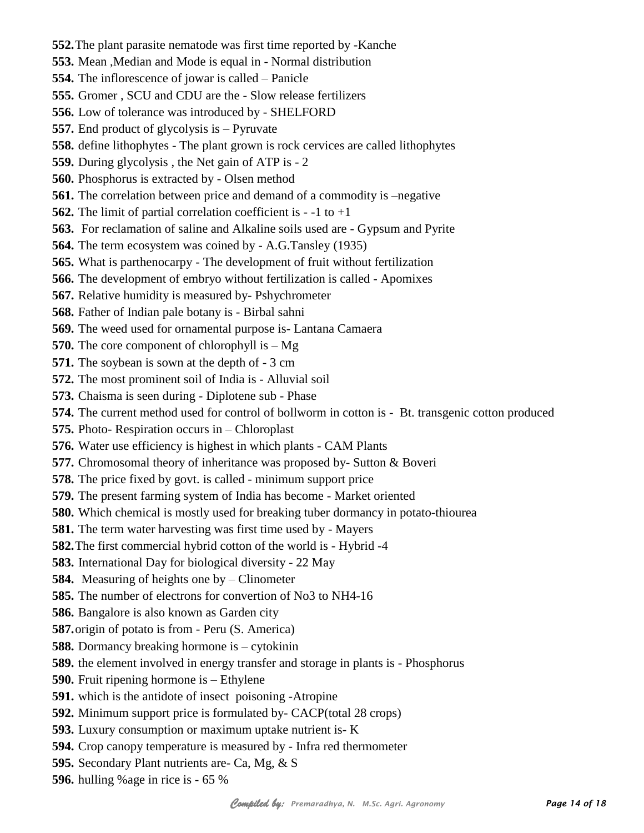**552.**The plant parasite nematode was first time reported by -Kanche **553.** Mean ,Median and Mode is equal in - Normal distribution **554.** The inflorescence of jowar is called – Panicle **555.** Gromer , SCU and CDU are the - Slow release fertilizers **556.** Low of tolerance was introduced by - SHELFORD **557.** End product of glycolysis is – Pyruvate **558.** define lithophytes - The plant grown is rock cervices are called lithophytes **559.** During glycolysis , the Net gain of ATP is - 2 **560.** Phosphorus is extracted by - Olsen method **561.** The correlation between price and demand of a commodity is –negative **562.** The limit of partial correlation coefficient is - -1 to +1 **563.** For reclamation of saline and Alkaline soils used are - Gypsum and Pyrite **564.** The term ecosystem was coined by - A.G.Tansley (1935) **565.** What is parthenocarpy - The development of fruit without fertilization **566.** The development of embryo without fertilization is called - Apomixes **567.** Relative humidity is measured by- Pshychrometer **568.** Father of Indian pale botany is - Birbal sahni **569.** The weed used for ornamental purpose is- Lantana Camaera **570.** The core component of chlorophyll is – Mg **571.** The soybean is sown at the depth of - 3 cm **572.** The most prominent soil of India is - Alluvial soil **573.** Chaisma is seen during - Diplotene sub - Phase **574.** The current method used for control of bollworm in cotton is - Bt. transgenic cotton produced **575.** Photo- Respiration occurs in – Chloroplast **576.** Water use efficiency is highest in which plants - CAM Plants **577.** Chromosomal theory of inheritance was proposed by- Sutton & Boveri **578.** The price fixed by govt. is called - minimum support price **579.** The present farming system of India has become - Market oriented **580.** Which chemical is mostly used for breaking tuber dormancy in potato-thiourea **581.** The term water harvesting was first time used by - Mayers **582.**The first commercial hybrid cotton of the world is - Hybrid -4 **583.** International Day for biological diversity - 22 May **584.** Measuring of heights one by – Clinometer **585.** The number of electrons for convertion of No3 to NH4-16 **586.** Bangalore is also known as Garden city **587.**origin of potato is from - Peru (S. America) **588.** Dormancy breaking hormone is – cytokinin **589.** the element involved in energy transfer and storage in plants is - Phosphorus **590.** Fruit ripening hormone is – Ethylene **591.** which is the antidote of insect poisoning -Atropine **592.** Minimum support price is formulated by- CACP(total 28 crops) **593.** Luxury consumption or maximum uptake nutrient is- K **594.** Crop canopy temperature is measured by - Infra red thermometer **595.** Secondary Plant nutrients are- Ca, Mg, & S **596.** hulling %age in rice is - 65 %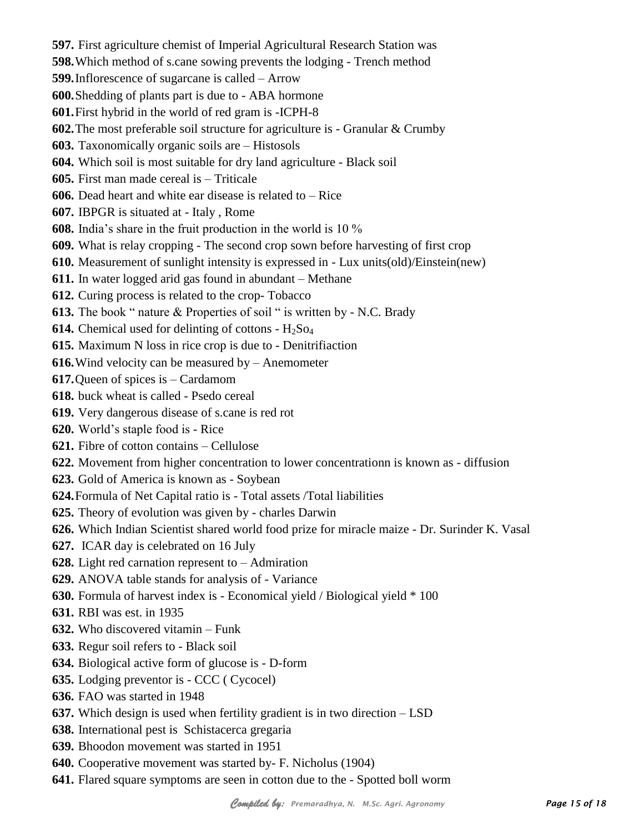**597.** First agriculture chemist of Imperial Agricultural Research Station was **598.**Which method of s.cane sowing prevents the lodging - Trench method **599.**Inflorescence of sugarcane is called – Arrow **600.**Shedding of plants part is due to - ABA hormone **601.**First hybrid in the world of red gram is -ICPH-8 **602.**The most preferable soil structure for agriculture is - Granular & Crumby **603.** Taxonomically organic soils are – Histosols **604.** Which soil is most suitable for dry land agriculture - Black soil **605.** First man made cereal is – Triticale **606.** Dead heart and white ear disease is related to – Rice **607.** IBPGR is situated at - Italy , Rome **608.** India's share in the fruit production in the world is 10 % **609.** What is relay cropping - The second crop sown before harvesting of first crop **610.** Measurement of sunlight intensity is expressed in - Lux units(old)/Einstein(new) **611.** In water logged arid gas found in abundant – Methane **612.** Curing process is related to the crop- Tobacco **613.** The book " nature & Properties of soil " is written by - N.C. Brady **614.** Chemical used for delinting of cottons -  $H_2$ So<sub>4</sub> **615.** Maximum N loss in rice crop is due to - Denitrifiaction **616.**Wind velocity can be measured by – Anemometer **617.**Queen of spices is – Cardamom **618.** buck wheat is called - Psedo cereal **619.** Very dangerous disease of s.cane is red rot **620.** World's staple food is - Rice **621.** Fibre of cotton contains – Cellulose **622.** Movement from higher concentration to lower concentrationn is known as - diffusion **623.** Gold of America is known as - Soybean **624.**Formula of Net Capital ratio is - Total assets /Total liabilities **625.** Theory of evolution was given by - charles Darwin **626.** Which Indian Scientist shared world food prize for miracle maize - Dr. Surinder K. Vasal **627.** ICAR day is celebrated on 16 July **628.** Light red carnation represent to – Admiration **629.** ANOVA table stands for analysis of - Variance **630.** Formula of harvest index is - Economical yield / Biological yield \* 100 **631.** RBI was est. in 1935 **632.** Who discovered vitamin – Funk **633.** Regur soil refers to - Black soil **634.** Biological active form of glucose is - D-form **635.** Lodging preventor is - CCC ( Cycocel) **636.** FAO was started in 1948 **637.** Which design is used when fertility gradient is in two direction – LSD **638.** International pest is Schistacerca gregaria **639.** Bhoodon movement was started in 1951 **640.** Cooperative movement was started by- F. Nicholus (1904)

**641.** Flared square symptoms are seen in cotton due to the - Spotted boll worm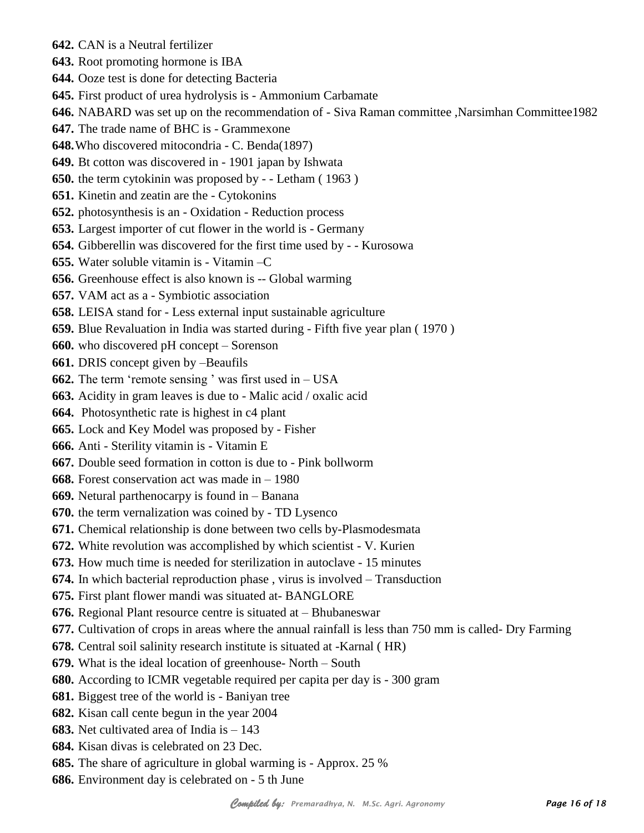**642.** CAN is a Neutral fertilizer **643.** Root promoting hormone is IBA **644.** Ooze test is done for detecting Bacteria **645.** First product of urea hydrolysis is - Ammonium Carbamate **646.** NABARD was set up on the recommendation of - Siva Raman committee ,Narsimhan Committee1982 **647.** The trade name of BHC is - Grammexone **648.**Who discovered mitocondria - C. Benda(1897) **649.** Bt cotton was discovered in - 1901 japan by Ishwata **650.** the term cytokinin was proposed by - - Letham ( 1963 ) **651.** Kinetin and zeatin are the - Cytokonins **652.** photosynthesis is an - Oxidation - Reduction process **653.** Largest importer of cut flower in the world is - Germany **654.** Gibberellin was discovered for the first time used by - - Kurosowa **655.** Water soluble vitamin is - Vitamin –C **656.** Greenhouse effect is also known is -- Global warming **657.** VAM act as a - Symbiotic association **658.** LEISA stand for - Less external input sustainable agriculture **659.** Blue Revaluation in India was started during - Fifth five year plan ( 1970 ) **660.** who discovered pH concept – Sorenson **661.** DRIS concept given by –Beaufils **662.** The term 'remote sensing ' was first used in – USA **663.** Acidity in gram leaves is due to - Malic acid / oxalic acid **664.** Photosynthetic rate is highest in c4 plant **665.** Lock and Key Model was proposed by - Fisher **666.** Anti - Sterility vitamin is - Vitamin E **667.** Double seed formation in cotton is due to - Pink bollworm **668.** Forest conservation act was made in – 1980 **669.** Netural parthenocarpy is found in – Banana **670.** the term vernalization was coined by - TD Lysenco **671.** Chemical relationship is done between two cells by-Plasmodesmata **672.** White revolution was accomplished by which scientist - V. Kurien **673.** How much time is needed for sterilization in autoclave - 15 minutes **674.** In which bacterial reproduction phase , virus is involved – Transduction **675.** First plant flower mandi was situated at- BANGLORE **676.** Regional Plant resource centre is situated at – Bhubaneswar **677.** Cultivation of crops in areas where the annual rainfall is less than 750 mm is called- Dry Farming **678.** Central soil salinity research institute is situated at -Karnal ( HR) **679.** What is the ideal location of greenhouse- North – South **680.** According to ICMR vegetable required per capita per day is - 300 gram **681.** Biggest tree of the world is - Baniyan tree **682.** Kisan call cente begun in the year 2004 **683.** Net cultivated area of India is – 143 **684.** Kisan divas is celebrated on 23 Dec. **685.** The share of agriculture in global warming is - Approx. 25 % **686.** Environment day is celebrated on - 5 th June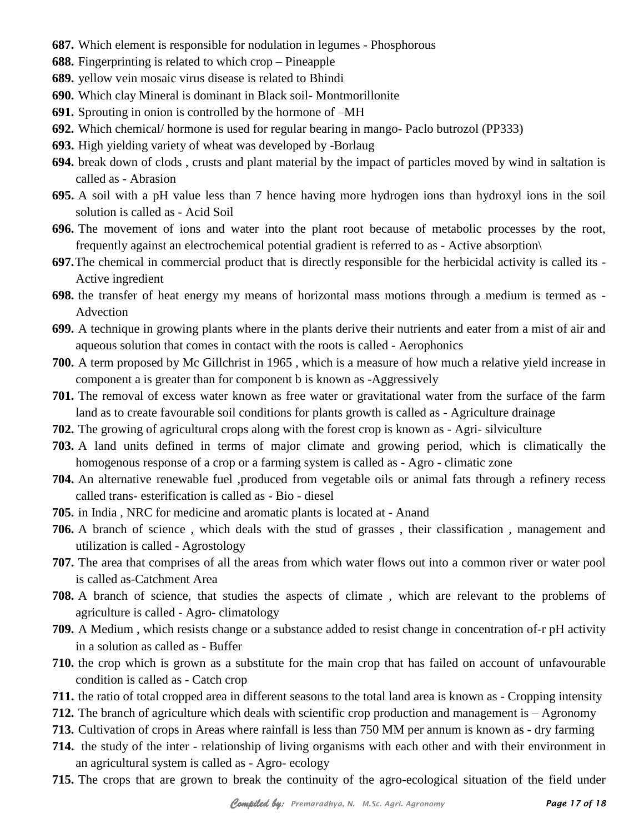- **687.** Which element is responsible for nodulation in legumes Phosphorous
- **688.** Fingerprinting is related to which crop Pineapple
- **689.** yellow vein mosaic virus disease is related to Bhindi
- **690.** Which clay Mineral is dominant in Black soil- Montmorillonite
- **691.** Sprouting in onion is controlled by the hormone of –MH
- **692.** Which chemical/ hormone is used for regular bearing in mango- Paclo butrozol (PP333)
- **693.** High yielding variety of wheat was developed by -Borlaug
- **694.** break down of clods , crusts and plant material by the impact of particles moved by wind in saltation is called as - Abrasion
- **695.** A soil with a pH value less than 7 hence having more hydrogen ions than hydroxyl ions in the soil solution is called as - Acid Soil
- **696.** The movement of ions and water into the plant root because of metabolic processes by the root, frequently against an electrochemical potential gradient is referred to as - Active absorption\
- **697.**The chemical in commercial product that is directly responsible for the herbicidal activity is called its Active ingredient
- **698.** the transfer of heat energy my means of horizontal mass motions through a medium is termed as Advection
- **699.** A technique in growing plants where in the plants derive their nutrients and eater from a mist of air and aqueous solution that comes in contact with the roots is called - Aerophonics
- **700.** A term proposed by Mc Gillchrist in 1965 , which is a measure of how much a relative yield increase in component a is greater than for component b is known as -Aggressively
- **701.** The removal of excess water known as free water or gravitational water from the surface of the farm land as to create favourable soil conditions for plants growth is called as - Agriculture drainage
- **702.** The growing of agricultural crops along with the forest crop is known as Agri- silviculture
- **703.** A land units defined in terms of major climate and growing period, which is climatically the homogenous response of a crop or a farming system is called as - Agro - climatic zone
- **704.** An alternative renewable fuel ,produced from vegetable oils or animal fats through a refinery recess called trans- esterification is called as - Bio - diesel
- **705.** in India , NRC for medicine and aromatic plants is located at Anand
- **706.** A branch of science , which deals with the stud of grasses , their classification , management and utilization is called - Agrostology
- **707.** The area that comprises of all the areas from which water flows out into a common river or water pool is called as-Catchment Area
- **708.** A branch of science, that studies the aspects of climate , which are relevant to the problems of agriculture is called - Agro- climatology
- **709.** A Medium , which resists change or a substance added to resist change in concentration of-r pH activity in a solution as called as - Buffer
- **710.** the crop which is grown as a substitute for the main crop that has failed on account of unfavourable condition is called as - Catch crop
- **711.** the ratio of total cropped area in different seasons to the total land area is known as Cropping intensity
- **712.** The branch of agriculture which deals with scientific crop production and management is Agronomy
- **713.** Cultivation of crops in Areas where rainfall is less than 750 MM per annum is known as dry farming
- **714.** the study of the inter relationship of living organisms with each other and with their environment in an agricultural system is called as - Agro- ecology
- **715.** The crops that are grown to break the continuity of the agro-ecological situation of the field under